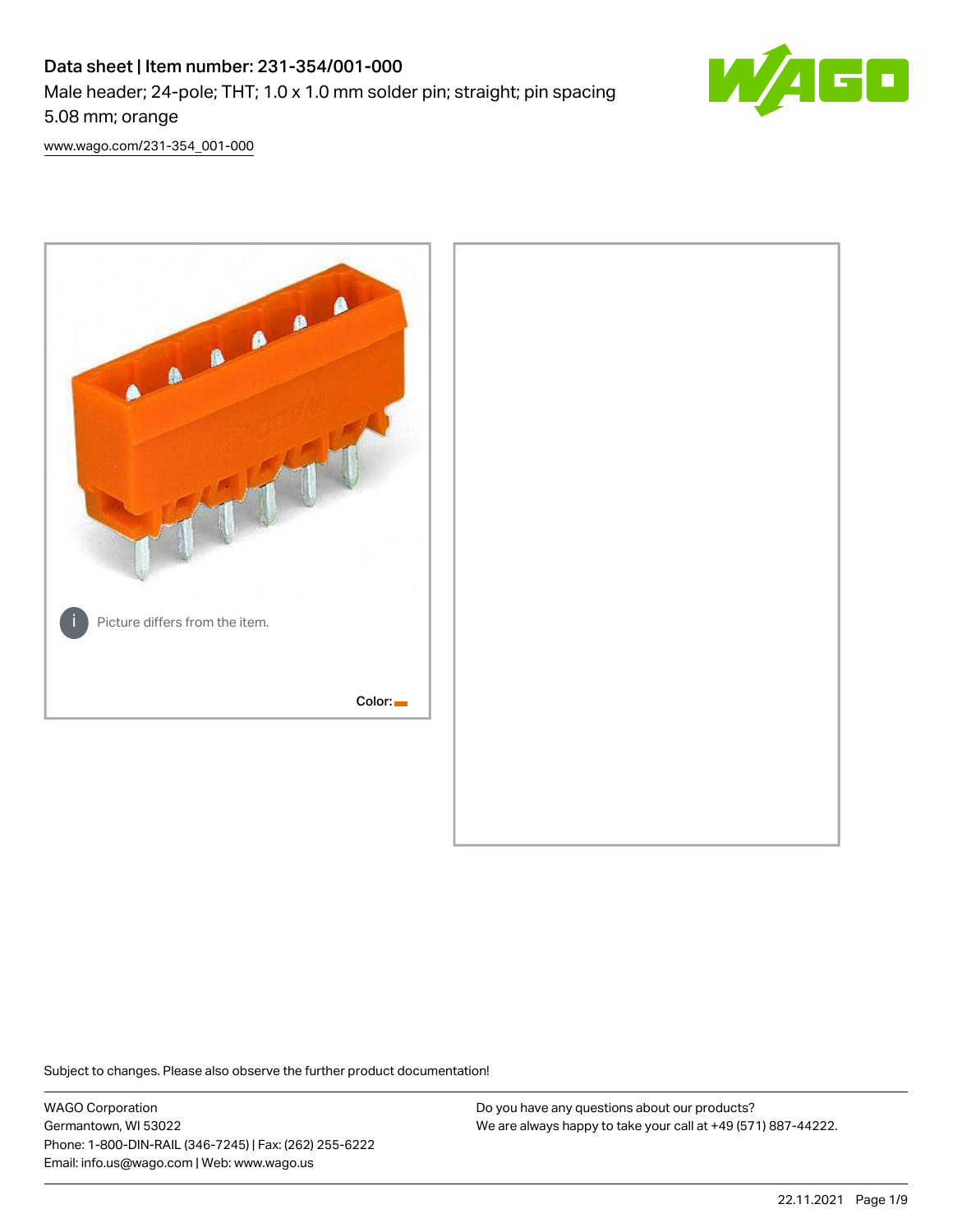# Data sheet | Item number: 231-354/001-000 Male header; 24-pole; THT; 1.0 x 1.0 mm solder pin; straight; pin spacing 5.08 mm; orange



[www.wago.com/231-354\\_001-000](http://www.wago.com/231-354_001-000)



Subject to changes. Please also observe the further product documentation!

WAGO Corporation Germantown, WI 53022 Phone: 1-800-DIN-RAIL (346-7245) | Fax: (262) 255-6222 Email: info.us@wago.com | Web: www.wago.us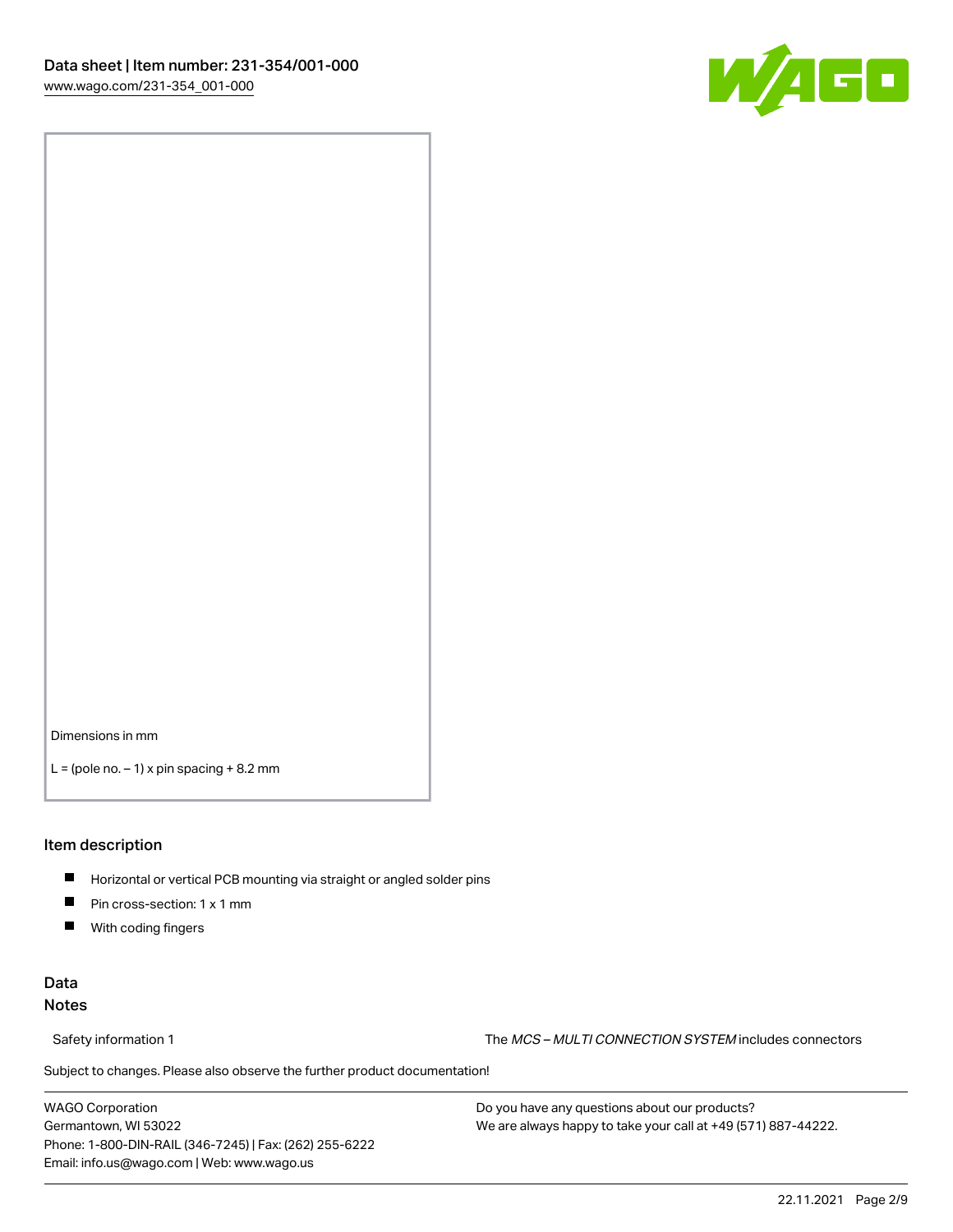

Dimensions in mm

 $L =$  (pole no.  $-1$ ) x pin spacing  $+8.2$  mm

#### Item description

- **Horizontal or vertical PCB mounting via straight or angled solder pins**
- **Pin cross-section: 1 x 1 mm**
- $\blacksquare$ With coding fingers

### Data Notes

Safety information 1 The MCS – MULTI CONNECTION SYSTEM includes connectors

Subject to changes. Please also observe the further product documentation!  $\nu$ 

WAGO Corporation Germantown, WI 53022 Phone: 1-800-DIN-RAIL (346-7245) | Fax: (262) 255-6222 Email: info.us@wago.com | Web: www.wago.us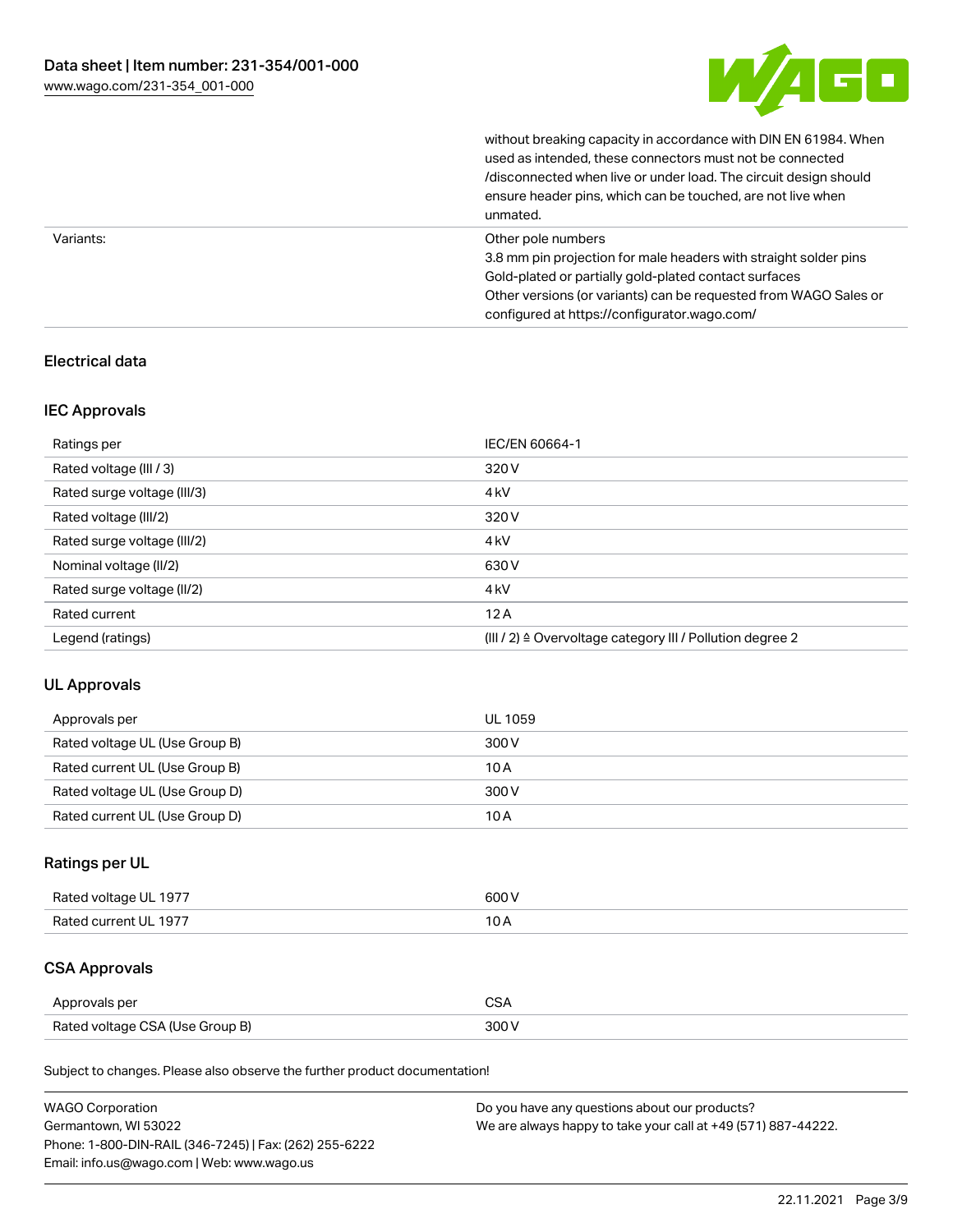

without breaking capacity in accordance with DIN EN 61984. When

|           | used as intended, these connectors must not be connected<br>/disconnected when live or under load. The circuit design should<br>ensure header pins, which can be touched, are not live when<br>unmated.                                                             |
|-----------|---------------------------------------------------------------------------------------------------------------------------------------------------------------------------------------------------------------------------------------------------------------------|
| Variants: | Other pole numbers<br>3.8 mm pin projection for male headers with straight solder pins<br>Gold-plated or partially gold-plated contact surfaces<br>Other versions (or variants) can be requested from WAGO Sales or<br>configured at https://configurator.wago.com/ |

### Electrical data

### IEC Approvals

| Ratings per                 | IEC/EN 60664-1                                            |
|-----------------------------|-----------------------------------------------------------|
| Rated voltage (III / 3)     | 320 V                                                     |
| Rated surge voltage (III/3) | 4 <sub>k</sub> V                                          |
| Rated voltage (III/2)       | 320 V                                                     |
| Rated surge voltage (III/2) | 4 <sub>k</sub> V                                          |
| Nominal voltage (II/2)      | 630 V                                                     |
| Rated surge voltage (II/2)  | 4 <sub>k</sub> V                                          |
| Rated current               | 12A                                                       |
| Legend (ratings)            | (III / 2) ≙ Overvoltage category III / Pollution degree 2 |

### UL Approvals

| Approvals per                  | UL 1059 |
|--------------------------------|---------|
| Rated voltage UL (Use Group B) | 300 V   |
| Rated current UL (Use Group B) | 10 A    |
| Rated voltage UL (Use Group D) | 300 V   |
| Rated current UL (Use Group D) | 10 A    |

### Ratings per UL

| Rated voltage UL 1977 | 600 V |
|-----------------------|-------|
| Rated current UL 1977 |       |

## CSA Approvals

| Approvals per                   | ~~    |
|---------------------------------|-------|
| Rated voltage CSA (Use Group B) | 3UU 1 |

Subject to changes. Please also observe the further product documentation!

| <b>WAGO Corporation</b>                                | Do you have any questions about our products?                 |
|--------------------------------------------------------|---------------------------------------------------------------|
| Germantown, WI 53022                                   | We are always happy to take your call at +49 (571) 887-44222. |
| Phone: 1-800-DIN-RAIL (346-7245)   Fax: (262) 255-6222 |                                                               |
| Email: info.us@wago.com   Web: www.wago.us             |                                                               |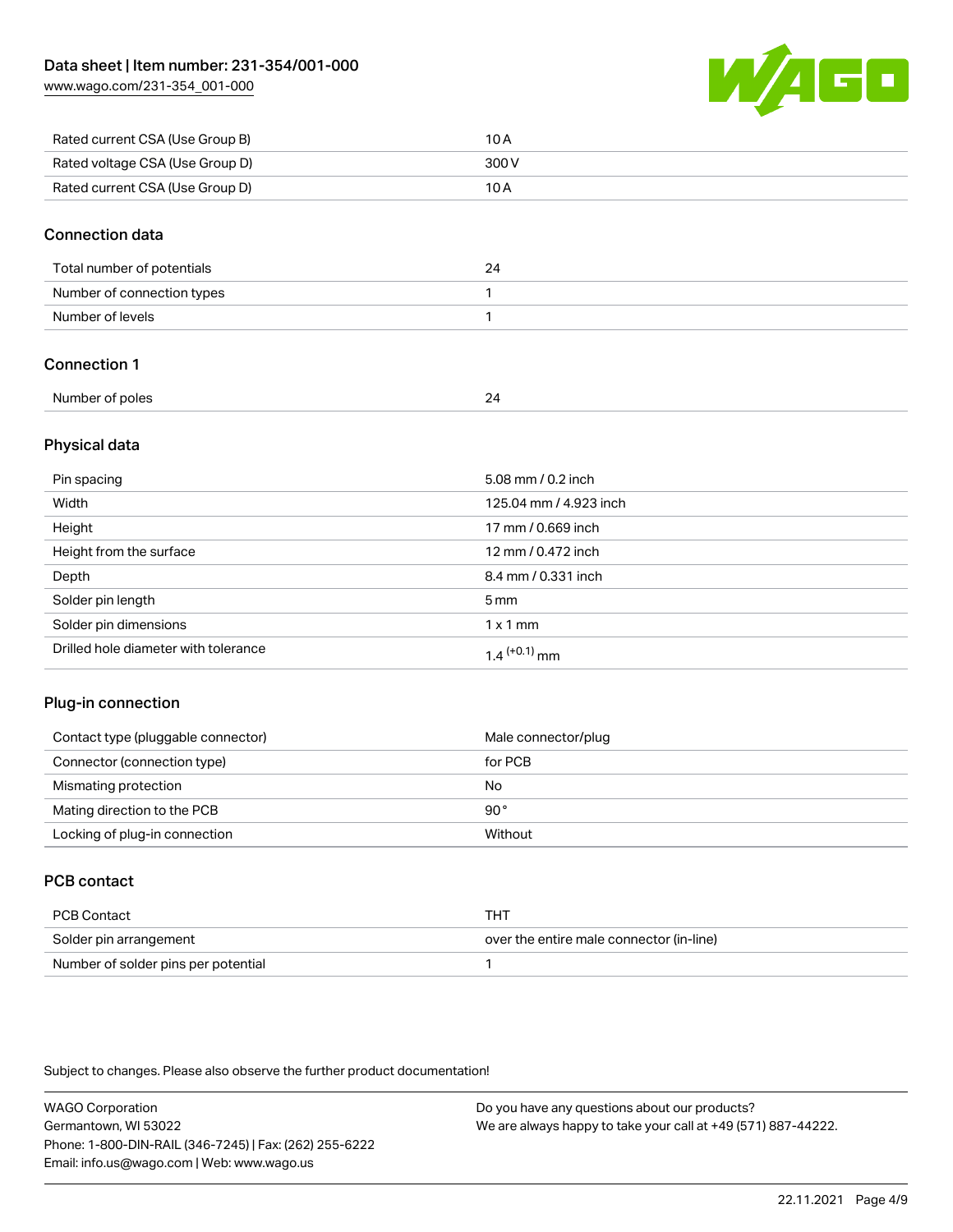[www.wago.com/231-354\\_001-000](http://www.wago.com/231-354_001-000)



| Rated current CSA (Use Group B) | 10 A  |
|---------------------------------|-------|
| Rated voltage CSA (Use Group D) | 300 V |
| Rated current CSA (Use Group D) | 10 A  |

#### Connection data

| Total number of potentials |  |
|----------------------------|--|
| Number of connection types |  |
| Number of levels           |  |

### Connection 1

| Number of poles | - |
|-----------------|---|
| - - -           |   |
|                 |   |

#### Physical data

| Pin spacing                          | 5.08 mm / 0.2 inch     |
|--------------------------------------|------------------------|
| Width                                | 125.04 mm / 4.923 inch |
| Height                               | 17 mm / 0.669 inch     |
| Height from the surface              | 12 mm / 0.472 inch     |
| Depth                                | 8.4 mm / 0.331 inch    |
| Solder pin length                    | $5 \text{ mm}$         |
| Solder pin dimensions                | $1 \times 1$ mm        |
| Drilled hole diameter with tolerance | $1.4$ $(+0.1)$ mm      |

### Plug-in connection

| Contact type (pluggable connector) | Male connector/plug |
|------------------------------------|---------------------|
| Connector (connection type)        | for PCB             |
| Mismating protection               | No                  |
| Mating direction to the PCB        | 90°                 |
| Locking of plug-in connection      | Without             |

### PCB contact

| PCB Contact                         | тнт                                      |
|-------------------------------------|------------------------------------------|
| Solder pin arrangement              | over the entire male connector (in-line) |
| Number of solder pins per potential |                                          |

Subject to changes. Please also observe the further product documentation!

WAGO Corporation Germantown, WI 53022 Phone: 1-800-DIN-RAIL (346-7245) | Fax: (262) 255-6222 Email: info.us@wago.com | Web: www.wago.us Do you have any questions about our products? We are always happy to take your call at +49 (571) 887-44222.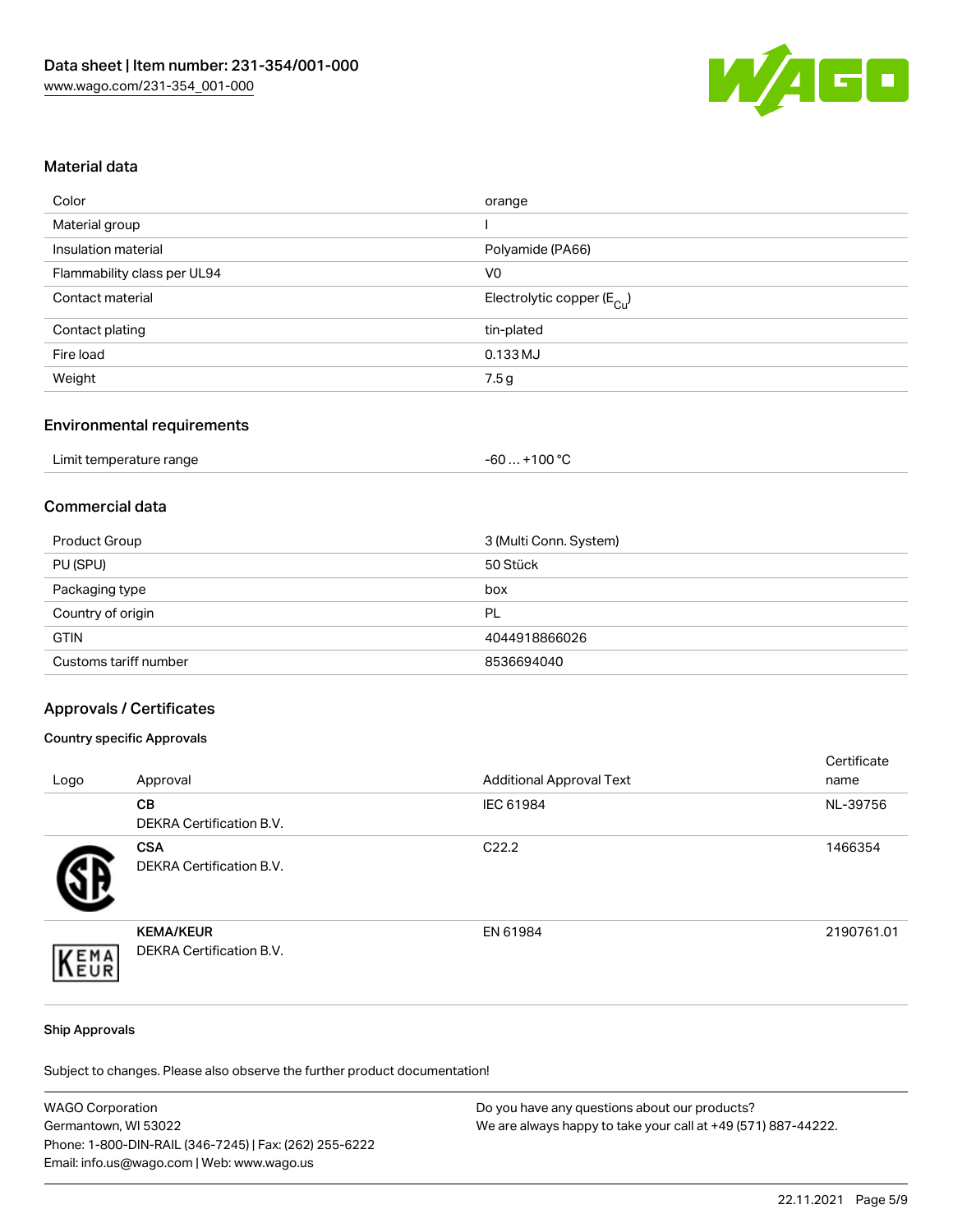

#### Material data

| orange                                 |
|----------------------------------------|
|                                        |
| Polyamide (PA66)                       |
| V <sub>0</sub>                         |
| Electrolytic copper (E <sub>Cu</sub> ) |
| tin-plated                             |
| 0.133 MJ                               |
| 7.5 g                                  |
|                                        |

### Environmental requirements

| Limit temperature range | $+100 °C$<br>-60 |
|-------------------------|------------------|
|-------------------------|------------------|

### Commercial data

| Product Group         | 3 (Multi Conn. System) |
|-----------------------|------------------------|
| PU (SPU)              | 50 Stück               |
| Packaging type        | box                    |
| Country of origin     | PL                     |
| <b>GTIN</b>           | 4044918866026          |
| Customs tariff number | 8536694040             |

#### Approvals / Certificates

#### Country specific Approvals

| Logo | Approval                                            | <b>Additional Approval Text</b> | Certificate<br>name |
|------|-----------------------------------------------------|---------------------------------|---------------------|
|      | <b>CB</b><br><b>DEKRA Certification B.V.</b>        | IEC 61984                       | NL-39756            |
|      | <b>CSA</b><br><b>DEKRA Certification B.V.</b>       | C <sub>22.2</sub>               | 1466354             |
| EMA  | <b>KEMA/KEUR</b><br><b>DEKRA Certification B.V.</b> | EN 61984                        | 2190761.01          |

#### Ship Approvals

Subject to changes. Please also observe the further product documentation!

| <b>WAGO Corporation</b>                                | Do you have any questions about our products?                 |
|--------------------------------------------------------|---------------------------------------------------------------|
| Germantown, WI 53022                                   | We are always happy to take your call at +49 (571) 887-44222. |
| Phone: 1-800-DIN-RAIL (346-7245)   Fax: (262) 255-6222 |                                                               |
| Email: info.us@wago.com   Web: www.wago.us             |                                                               |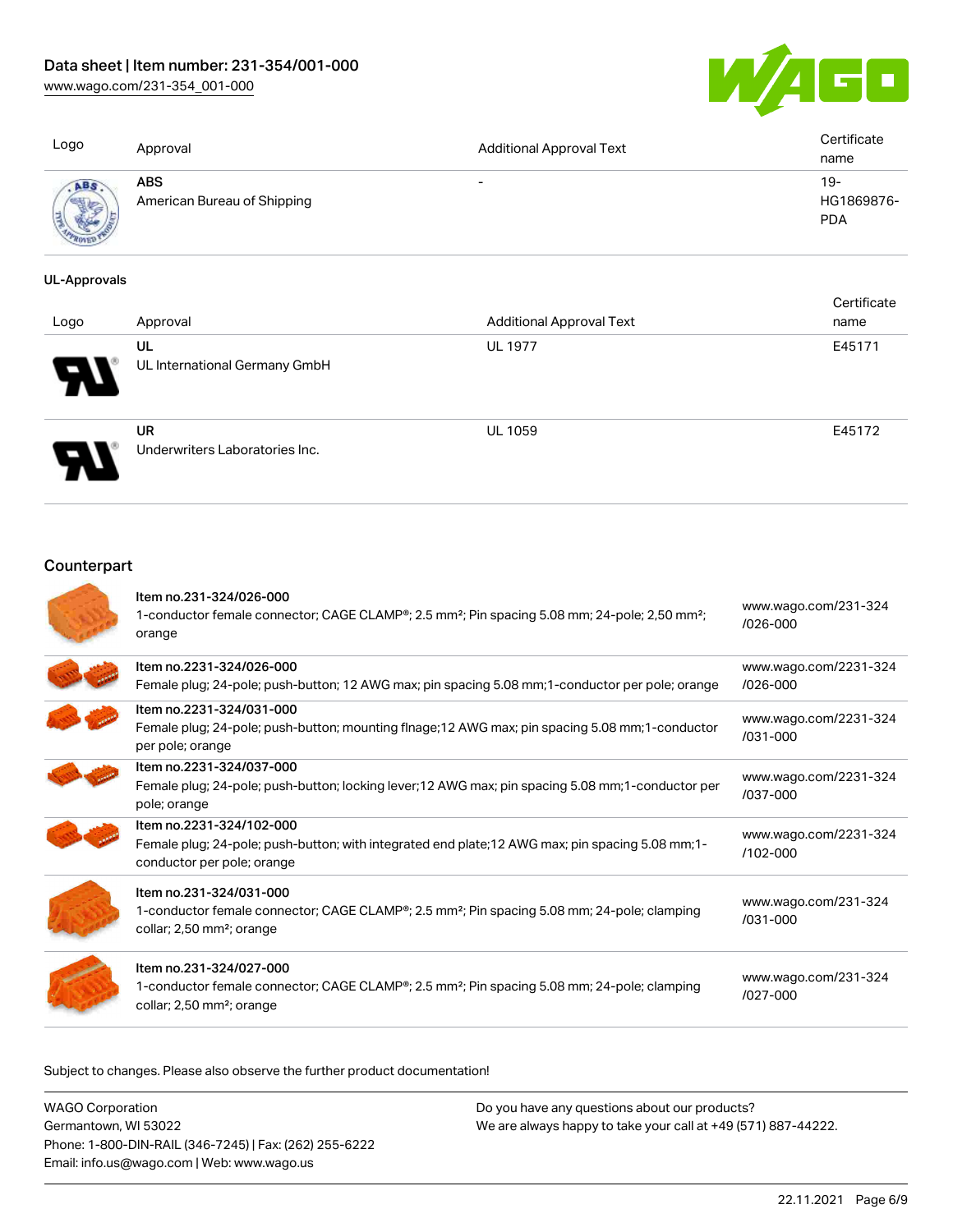### Data sheet | Item number: 231-354/001-000

[www.wago.com/231-354\\_001-000](http://www.wago.com/231-354_001-000)



| Logo        | Approval                                  | <b>Additional Approval Text</b> | Certificate<br>name             |
|-------------|-------------------------------------------|---------------------------------|---------------------------------|
| <b>USED</b> | <b>ABS</b><br>American Bureau of Shipping | $\overline{\phantom{0}}$        | 19-<br>HG1869876-<br><b>PDA</b> |

#### UL-Approvals

| Logo | Approval                                    | <b>Additional Approval Text</b> | Certificate<br>name |
|------|---------------------------------------------|---------------------------------|---------------------|
| Ы    | UL<br>UL International Germany GmbH         | <b>UL 1977</b>                  | E45171              |
|      | <b>UR</b><br>Underwriters Laboratories Inc. | <b>UL 1059</b>                  | E45172              |

## **Counterpart**

| Item no.231-324/026-000<br>1-conductor female connector; CAGE CLAMP®; 2.5 mm <sup>2</sup> ; Pin spacing 5.08 mm; 24-pole; 2,50 mm <sup>2</sup> ;<br>orange                               | www.wago.com/231-324<br>$/026 - 000$  |
|------------------------------------------------------------------------------------------------------------------------------------------------------------------------------------------|---------------------------------------|
| Item no.2231-324/026-000<br>Female plug; 24-pole; push-button; 12 AWG max; pin spacing 5.08 mm; 1-conductor per pole; orange                                                             | www.wago.com/2231-324<br>$/026 - 000$ |
| Item no.2231-324/031-000<br>Female plug; 24-pole; push-button; mounting flnage; 12 AWG max; pin spacing 5.08 mm; 1-conductor<br>per pole; orange                                         | www.wago.com/2231-324<br>$/031 - 000$ |
| Item no.2231-324/037-000<br>Female plug; 24-pole; push-button; locking lever; 12 AWG max; pin spacing 5.08 mm; 1-conductor per<br>pole; orange                                           | www.wago.com/2231-324<br>/037-000     |
| Item no.2231-324/102-000<br>Female plug; 24-pole; push-button; with integrated end plate; 12 AWG max; pin spacing 5.08 mm; 1-<br>conductor per pole; orange                              | www.wago.com/2231-324<br>/102-000     |
| Item no.231-324/031-000<br>1-conductor female connector; CAGE CLAMP <sup>®</sup> ; 2.5 mm <sup>2</sup> ; Pin spacing 5.08 mm; 24-pole; clamping<br>collar; 2,50 mm <sup>2</sup> ; orange | www.wago.com/231-324<br>$/031 - 000$  |
| Item no.231-324/027-000<br>1-conductor female connector; CAGE CLAMP <sup>®</sup> ; 2.5 mm <sup>2</sup> ; Pin spacing 5.08 mm; 24-pole; clamping<br>collar; 2,50 mm <sup>2</sup> ; orange | www.wago.com/231-324<br>$1027 - 000$  |

Subject to changes. Please also observe the further product documentation!

| <b>WAGO Corporation</b>                                |
|--------------------------------------------------------|
| Germantown, WI 53022                                   |
| Phone: 1-800-DIN-RAIL (346-7245)   Fax: (262) 255-6222 |
| Email: info.us@wago.com   Web: www.wago.us             |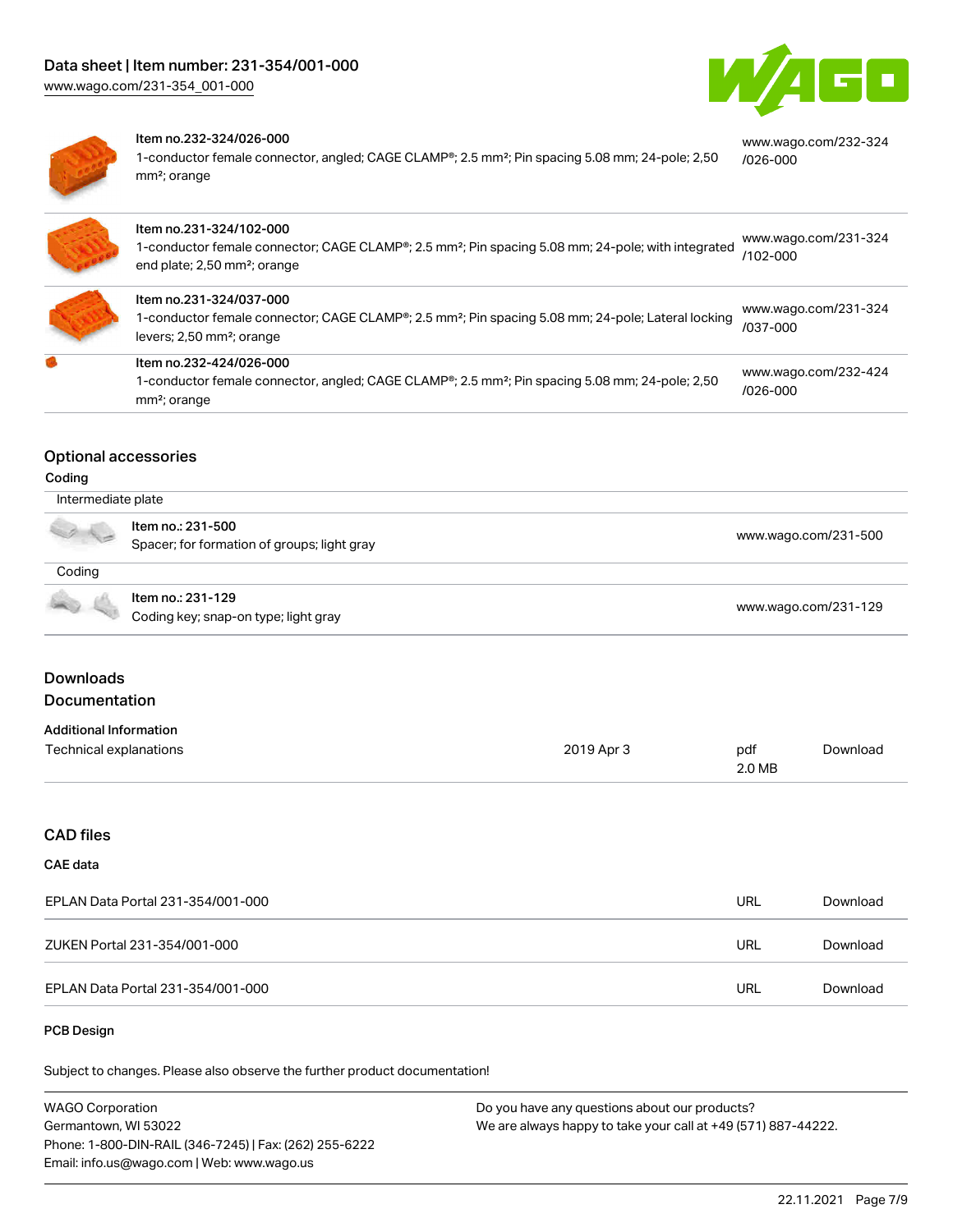

[www.wago.com/232-324](https://www.wago.com/232-324/026-000)



#### Item no.232-324/026-000

1-conductor female connector, angled; CAGE CLAMP®; 2.5 mm²; Pin spacing 5.08 mm; 24-pole; 2,50 mm²; orange [/026-000](https://www.wago.com/232-324/026-000)

| Item no.231-324/102-000<br>1-conductor female connector; CAGE CLAMP <sup>®</sup> ; 2.5 mm <sup>2</sup> ; Pin spacing 5.08 mm; 24-pole; with integrated<br>end plate; 2,50 mm <sup>2</sup> ; orange | www.wago.com/231-324<br>/102-000 |
|----------------------------------------------------------------------------------------------------------------------------------------------------------------------------------------------------|----------------------------------|
| ltem no.231-324/037-000<br>1-conductor female connector; CAGE CLAMP <sup>®</sup> ; 2.5 mm <sup>2</sup> ; Pin spacing 5.08 mm; 24-pole; Lateral locking<br>levers; 2,50 mm <sup>2</sup> ; orange    | www.wago.com/231-324<br>/037-000 |
| Item no.232-424/026-000<br>1-conductor female connector, angled; CAGE CLAMP®; 2.5 mm <sup>2</sup> ; Pin spacing 5.08 mm; 24-pole; 2,50<br>mm <sup>2</sup> ; orange                                 | www.wago.com/232-424<br>/026-000 |

### Optional accessories

#### Coding

| Intermediate plate |                                                                  |                      |  |
|--------------------|------------------------------------------------------------------|----------------------|--|
|                    | Item no.: 231-500<br>Spacer; for formation of groups; light gray | www.wago.com/231-500 |  |
| Coding             |                                                                  |                      |  |
|                    | Item no.: 231-129<br>Coding key; snap-on type; light gray        | www.wago.com/231-129 |  |

### **Downloads** Documentation

## Additional Information

| Additional information - |            |        |          |
|--------------------------|------------|--------|----------|
| Technical explanations   | 2019 Apr 3 | pdf    | Download |
|                          |            | 2.0 MB |          |

#### CAD files

#### CAE data

| EPLAN Data Portal 231-354/001-000 | URL | Download |
|-----------------------------------|-----|----------|
| ZUKEN Portal 231-354/001-000      | URL | Download |
| EPLAN Data Portal 231-354/001-000 | URL | Download |

#### PCB Design

Subject to changes. Please also observe the further product documentation!

| <b>WAGO Corporation</b>                                | Do you have any questions about our products?                 |
|--------------------------------------------------------|---------------------------------------------------------------|
| Germantown, WI 53022                                   | We are always happy to take your call at +49 (571) 887-44222. |
| Phone: 1-800-DIN-RAIL (346-7245)   Fax: (262) 255-6222 |                                                               |
| Email: info.us@wago.com   Web: www.wago.us             |                                                               |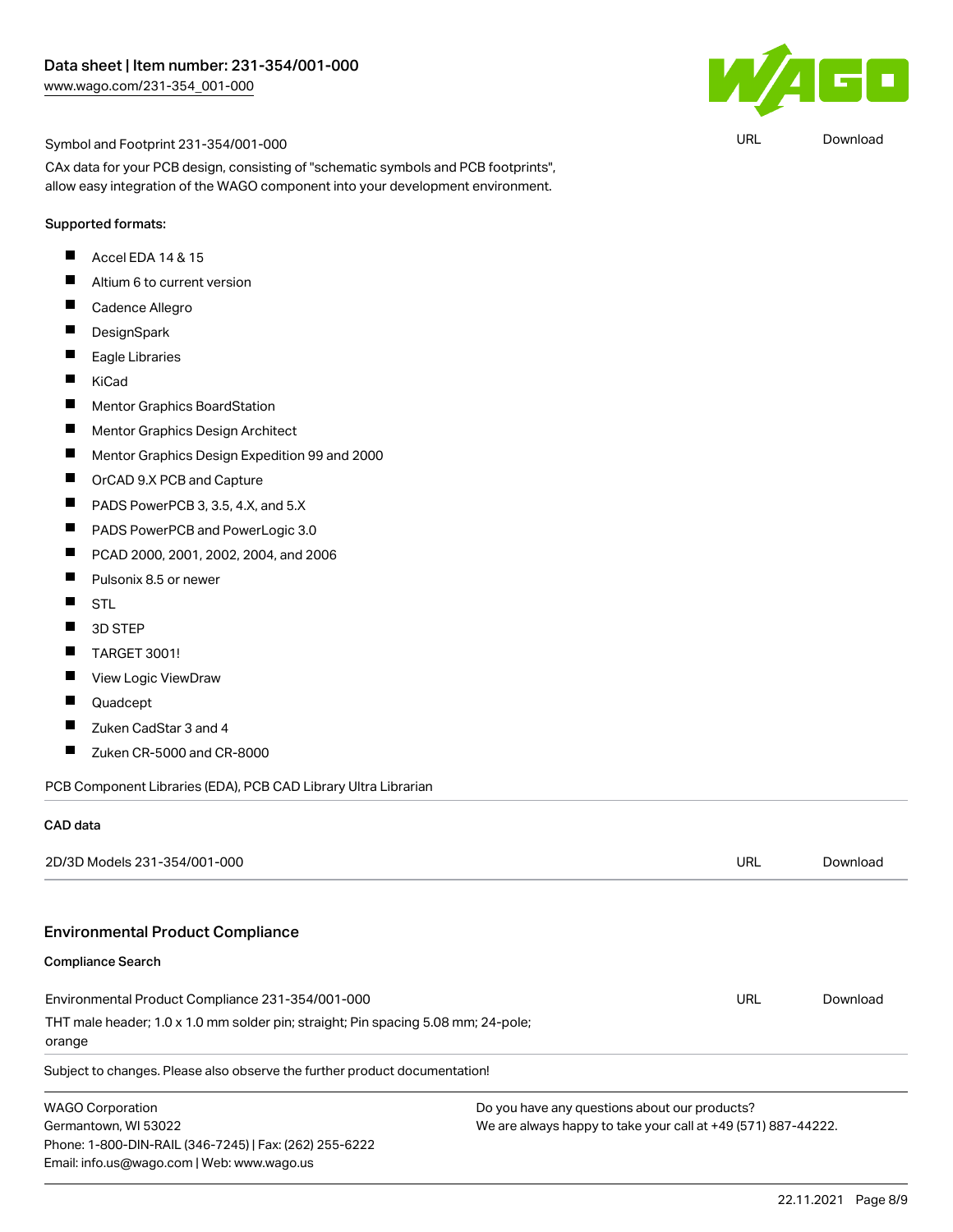

URL [Download](https://www.wago.com/global/d/UltraLibrarian_URLS_231-354_001-000)

#### Symbol and Footprint 231-354/001-000

CAx data for your PCB design, consisting of "schematic symbols and PCB footprints", allow easy integration of the WAGO component into your development environment.

#### Supported formats:

- $\blacksquare$ Accel EDA 14 & 15
- $\blacksquare$ Altium 6 to current version
- $\blacksquare$ Cadence Allegro
- $\blacksquare$ **DesignSpark**
- $\blacksquare$ Eagle Libraries
- $\blacksquare$ KiCad
- $\blacksquare$ Mentor Graphics BoardStation
- $\blacksquare$ Mentor Graphics Design Architect
- $\blacksquare$ Mentor Graphics Design Expedition 99 and 2000
- $\blacksquare$ OrCAD 9.X PCB and Capture
- $\blacksquare$ PADS PowerPCB 3, 3.5, 4.X, and 5.X
- П PADS PowerPCB and PowerLogic 3.0
- $\blacksquare$ PCAD 2000, 2001, 2002, 2004, and 2006
- П Pulsonix 8.5 or newer
- $\blacksquare$ **STL**
- П 3D STEP
- $\blacksquare$ TARGET 3001!
- $\blacksquare$ View Logic ViewDraw
- П Quadcept
- $\blacksquare$ Zuken CadStar 3 and 4
- $\blacksquare$ Zuken CR-5000 and CR-8000

PCB Component Libraries (EDA), PCB CAD Library Ultra Librarian

#### CAD data

| 2D/3D Models 231-354/001-000                                                                                                 |                                                               | URL | Download |
|------------------------------------------------------------------------------------------------------------------------------|---------------------------------------------------------------|-----|----------|
| <b>Environmental Product Compliance</b>                                                                                      |                                                               |     |          |
| <b>Compliance Search</b>                                                                                                     |                                                               |     |          |
| Environmental Product Compliance 231-354/001-000                                                                             |                                                               | URL | Download |
| THT male header; 1.0 x 1.0 mm solder pin; straight; Pin spacing 5.08 mm; 24-pole;<br>orange                                  |                                                               |     |          |
| Subject to changes. Please also observe the further product documentation!                                                   |                                                               |     |          |
| <b>WAGO Corporation</b>                                                                                                      | Do you have any questions about our products?                 |     |          |
| Germantown, WI 53022<br>Phone: 1-800-DIN-RAIL (346-7245)   Fax: (262) 255-6222<br>Email: info.us@wago.com   Web: www.wago.us | We are always happy to take your call at +49 (571) 887-44222. |     |          |